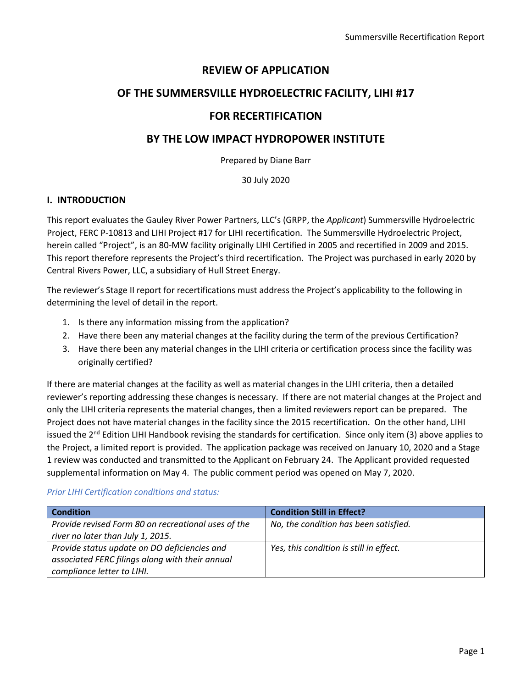# **REVIEW OF APPLICATION**

# **OF THE SUMMERSVILLE HYDROELECTRIC FACILITY, LIHI #17**

# **FOR RECERTIFICATION**

# **BY THE LOW IMPACT HYDROPOWER INSTITUTE**

Prepared by Diane Barr

30 July 2020

# **I. INTRODUCTION**

This report evaluates the Gauley River Power Partners, LLC's (GRPP, the *Applicant*) Summersville Hydroelectric Project, FERC P-10813 and LIHI Project #17 for LIHI recertification. The Summersville Hydroelectric Project, herein called "Project", is an 80-MW facility originally LIHI Certified in 2005 and recertified in 2009 and 2015. This report therefore represents the Project's third recertification. The Project was purchased in early 2020 by Central Rivers Power, LLC, a subsidiary of Hull Street Energy.

The reviewer's Stage II report for recertifications must address the Project's applicability to the following in determining the level of detail in the report.

- 1. Is there any information missing from the application?
- 2. Have there been any material changes at the facility during the term of the previous Certification?
- 3. Have there been any material changes in the LIHI criteria or certification process since the facility was originally certified?

If there are material changes at the facility as well as material changes in the LIHI criteria, then a detailed reviewer's reporting addressing these changes is necessary. If there are not material changes at the Project and only the LIHI criteria represents the material changes, then a limited reviewers report can be prepared. The Project does not have material changes in the facility since the 2015 recertification. On the other hand, LIHI issued the 2<sup>nd</sup> Edition LIHI Handbook revising the standards for certification. Since only item (3) above applies to the Project, a limited report is provided. The application package was received on January 10, 2020 and a Stage 1 review was conducted and transmitted to the Applicant on February 24. The Applicant provided requested supplemental information on May 4. The public comment period was opened on May 7, 2020.

## *Prior LIHI Certification conditions and status:*

| <b>Condition</b>                                                                                                              | <b>Condition Still in Effect?</b>       |
|-------------------------------------------------------------------------------------------------------------------------------|-----------------------------------------|
| Provide revised Form 80 on recreational uses of the<br>river no later than July 1, 2015.                                      | No, the condition has been satisfied.   |
| Provide status update on DO deficiencies and<br>associated FERC filings along with their annual<br>compliance letter to LIHI. | Yes, this condition is still in effect. |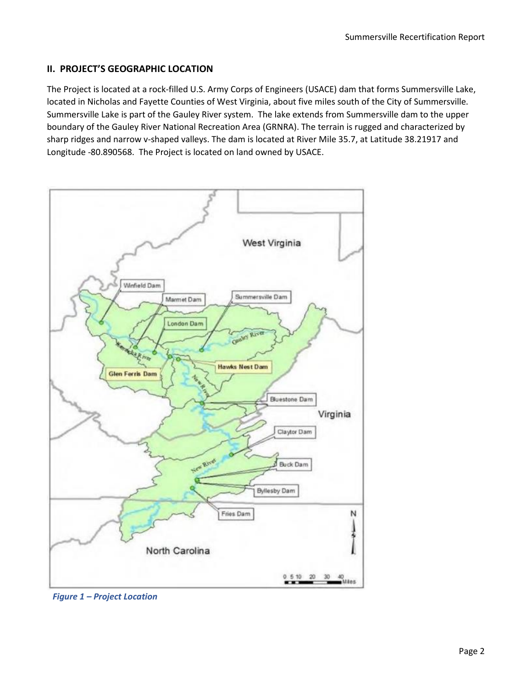# **II. PROJECT'S GEOGRAPHIC LOCATION**

The Project is located at a rock-filled U.S. Army Corps of Engineers (USACE) dam that forms Summersville Lake, located in Nicholas and Fayette Counties of West Virginia, about five miles south of the City of Summersville. Summersville Lake is part of the Gauley River system. The lake extends from Summersville dam to the upper boundary of the Gauley River National Recreation Area (GRNRA). The terrain is rugged and characterized by sharp ridges and narrow v-shaped valleys. The dam is located at River Mile 35.7, at Latitude 38.21917 and Longitude -80.890568. The Project is located on land owned by USACE.



*Figure 1 – Project Location*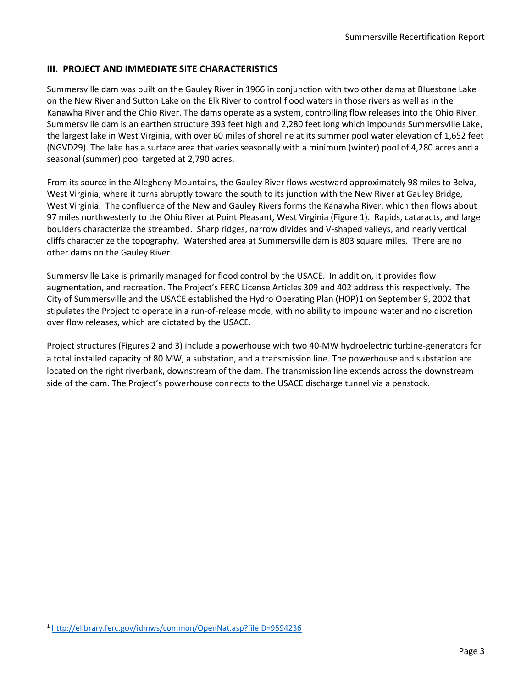## **III. PROJECT AND IMMEDIATE SITE CHARACTERISTICS**

Summersville dam was built on the Gauley River in 1966 in conjunction with two other dams at Bluestone Lake on the New River and Sutton Lake on the Elk River to control flood waters in those rivers as well as in the Kanawha River and the Ohio River. The dams operate as a system, controlling flow releases into the Ohio River. Summersville dam is an earthen structure 393 feet high and 2,280 feet long which impounds Summersville Lake, the largest lake in West Virginia, with over 60 miles of shoreline at its summer pool water elevation of 1,652 feet (NGVD29). The lake has a surface area that varies seasonally with a minimum (winter) pool of 4,280 acres and a seasonal (summer) pool targeted at 2,790 acres.

From its source in the Allegheny Mountains, the Gauley River flows westward approximately 98 miles to Belva, West Virginia, where it turns abruptly toward the south to its junction with the New River at Gauley Bridge, West Virginia. The confluence of the New and Gauley Rivers forms the Kanawha River, which then flows about 97 miles northwesterly to the Ohio River at Point Pleasant, West Virginia (Figure 1). Rapids, cataracts, and large boulders characterize the streambed. Sharp ridges, narrow divides and V-shaped valleys, and nearly vertical cliffs characterize the topography. Watershed area at Summersville dam is 803 square miles. There are no other dams on the Gauley River.

Summersville Lake is primarily managed for flood control by the USACE. In addition, it provides flow augmentation, and recreation. The Project's FERC License Articles 309 and 402 address this respectively. The City of Summersville and the USACE established the Hydro Operating Plan (HOP)[1](#page-2-0) on September 9, 2002 that stipulates the Project to operate in a run-of-release mode, with no ability to impound water and no discretion over flow releases, which are dictated by the USACE.

Project structures (Figures 2 and 3) include a powerhouse with two 40-MW hydroelectric turbine-generators for a total installed capacity of 80 MW, a substation, and a transmission line. The powerhouse and substation are located on the right riverbank, downstream of the dam. The transmission line extends across the downstream side of the dam. The Project's powerhouse connects to the USACE discharge tunnel via a penstock.

<span id="page-2-0"></span><sup>1</sup> <http://elibrary.ferc.gov/idmws/common/OpenNat.asp?fileID=9594236>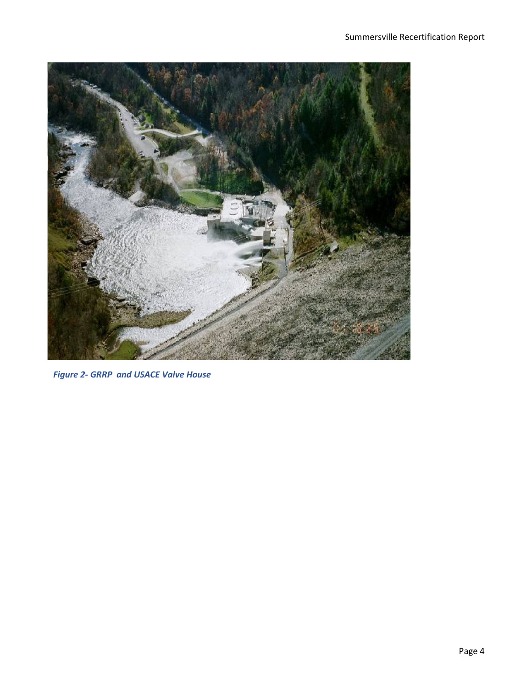

*Figure 2- GRRP and USACE Valve House*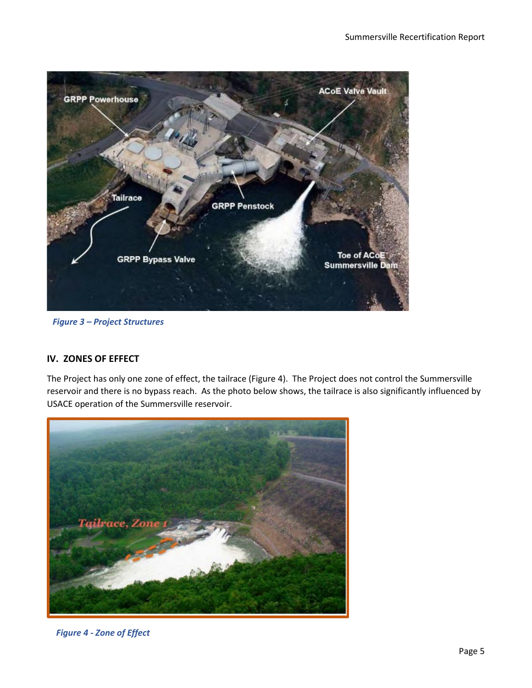

*Figure 3 – Project Structures*

# **IV. ZONES OF EFFECT**

The Project has only one zone of effect, the tailrace (Figure 4). The Project does not control the Summersville reservoir and there is no bypass reach. As the photo below shows, the tailrace is also significantly influenced by USACE operation of the Summersville reservoir.



*Figure 4 - Zone of Effect*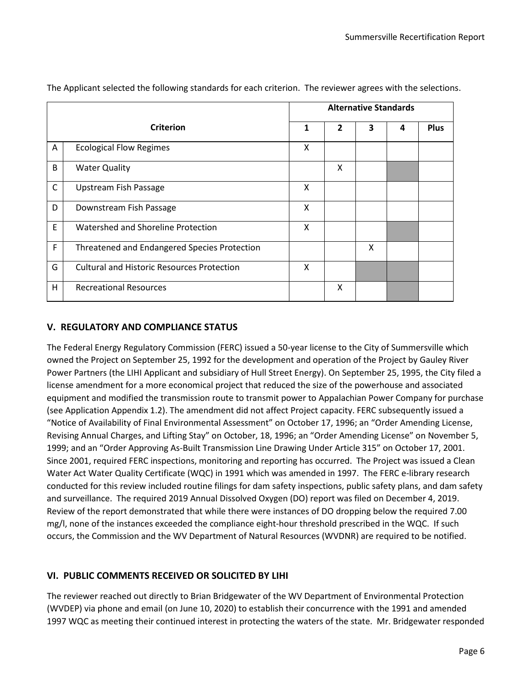|                                         |                                                   |   | <b>Alternative Standards</b> |   |   |             |  |  |
|-----------------------------------------|---------------------------------------------------|---|------------------------------|---|---|-------------|--|--|
|                                         | <b>Criterion</b>                                  | 1 | $\overline{2}$               | 3 | 4 | <b>Plus</b> |  |  |
| A                                       | <b>Ecological Flow Regimes</b>                    | X |                              |   |   |             |  |  |
| B                                       | <b>Water Quality</b>                              |   | Χ                            |   |   |             |  |  |
| $\mathsf C$                             | <b>Upstream Fish Passage</b>                      | X |                              |   |   |             |  |  |
| D                                       | Downstream Fish Passage                           | X |                              |   |   |             |  |  |
| E<br>Watershed and Shoreline Protection |                                                   | X |                              |   |   |             |  |  |
| F                                       | Threatened and Endangered Species Protection      |   |                              | X |   |             |  |  |
| G                                       | <b>Cultural and Historic Resources Protection</b> | X |                              |   |   |             |  |  |
| H                                       | <b>Recreational Resources</b>                     |   | X                            |   |   |             |  |  |

The Applicant selected the following standards for each criterion. The reviewer agrees with the selections.

# **V. REGULATORY AND COMPLIANCE STATUS**

The Federal Energy Regulatory Commission (FERC) issued a 50-year license to the City of Summersville which owned the Project on September 25, 1992 for the development and operation of the Project by Gauley River Power Partners (the LIHI Applicant and subsidiary of Hull Street Energy). On September 25, 1995, the City filed a license amendment for a more economical project that reduced the size of the powerhouse and associated equipment and modified the transmission route to transmit power to Appalachian Power Company for purchase (see Application Appendix 1.2). The amendment did not affect Project capacity. FERC subsequently issued a "Notice of Availability of Final Environmental Assessment" on October 17, 1996; an "Order Amending License, Revising Annual Charges, and Lifting Stay" on October, 18, 1996; an "Order Amending License" on November 5, 1999; and an "Order Approving As-Built Transmission Line Drawing Under Article 315" on October 17, 2001. Since 2001, required FERC inspections, monitoring and reporting has occurred. The Project was issued a Clean Water Act Water Quality Certificate (WQC) in 1991 which was amended in 1997. The FERC e-library research conducted for this review included routine filings for dam safety inspections, public safety plans, and dam safety and surveillance. The required 2019 Annual Dissolved Oxygen (DO) report was filed on December 4, 2019. Review of the report demonstrated that while there were instances of DO dropping below the required 7.00 mg/l, none of the instances exceeded the compliance eight-hour threshold prescribed in the WQC. If such occurs, the Commission and the WV Department of Natural Resources (WVDNR) are required to be notified.

# **VI. PUBLIC COMMENTS RECEIVED OR SOLICITED BY LIHI**

The reviewer reached out directly to Brian Bridgewater of the WV Department of Environmental Protection (WVDEP) via phone and email (on June 10, 2020) to establish their concurrence with the 1991 and amended 1997 WQC as meeting their continued interest in protecting the waters of the state. Mr. Bridgewater responded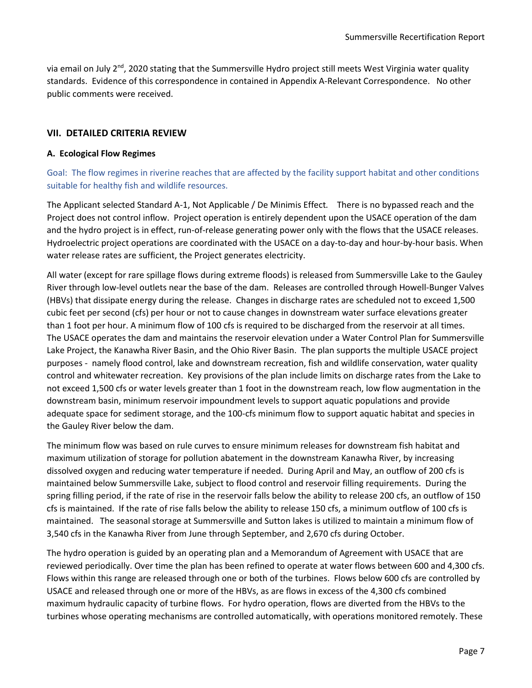via email on July 2<sup>nd</sup>, 2020 stating that the Summersville Hydro project still meets West Virginia water quality standards. Evidence of this correspondence in contained in Appendix A-Relevant Correspondence. No other public comments were received.

## **VII. DETAILED CRITERIA REVIEW**

#### **A. Ecological Flow Regimes**

Goal: The flow regimes in riverine reaches that are affected by the facility support habitat and other conditions suitable for healthy fish and wildlife resources.

The Applicant selected Standard A-1, Not Applicable / De Minimis Effect*.* There is no bypassed reach and the Project does not control inflow. Project operation is entirely dependent upon the USACE operation of the dam and the hydro project is in effect, run-of-release generating power only with the flows that the USACE releases. Hydroelectric project operations are coordinated with the USACE on a day-to-day and hour-by-hour basis. When water release rates are sufficient, the Project generates electricity.

All water (except for rare spillage flows during extreme floods) is released from Summersville Lake to the Gauley River through low-level outlets near the base of the dam. Releases are controlled through Howell-Bunger Valves (HBVs) that dissipate energy during the release. Changes in discharge rates are scheduled not to exceed 1,500 cubic feet per second (cfs) per hour or not to cause changes in downstream water surface elevations greater than 1 foot per hour. A minimum flow of 100 cfs is required to be discharged from the reservoir at all times. The USACE operates the dam and maintains the reservoir elevation under a Water Control Plan for Summersville Lake Project, the Kanawha River Basin, and the Ohio River Basin. The plan supports the multiple USACE project purposes - namely flood control, lake and downstream recreation, fish and wildlife conservation, water quality control and whitewater recreation. Key provisions of the plan include limits on discharge rates from the Lake to not exceed 1,500 cfs or water levels greater than 1 foot in the downstream reach, low flow augmentation in the downstream basin, minimum reservoir impoundment levels to support aquatic populations and provide adequate space for sediment storage, and the 100-cfs minimum flow to support aquatic habitat and species in the Gauley River below the dam.

The minimum flow was based on rule curves to ensure minimum releases for downstream fish habitat and maximum utilization of storage for pollution abatement in the downstream Kanawha River, by increasing dissolved oxygen and reducing water temperature if needed. During April and May, an outflow of 200 cfs is maintained below Summersville Lake, subject to flood control and reservoir filling requirements. During the spring filling period, if the rate of rise in the reservoir falls below the ability to release 200 cfs, an outflow of 150 cfs is maintained. If the rate of rise falls below the ability to release 150 cfs, a minimum outflow of 100 cfs is maintained. The seasonal storage at Summersville and Sutton lakes is utilized to maintain a minimum flow of 3,540 cfs in the Kanawha River from June through September, and 2,670 cfs during October.

The hydro operation is guided by an operating plan and a Memorandum of Agreement with USACE that are reviewed periodically. Over time the plan has been refined to operate at water flows between 600 and 4,300 cfs. Flows within this range are released through one or both of the turbines. Flows below 600 cfs are controlled by USACE and released through one or more of the HBVs, as are flows in excess of the 4,300 cfs combined maximum hydraulic capacity of turbine flows. For hydro operation, flows are diverted from the HBVs to the turbines whose operating mechanisms are controlled automatically, with operations monitored remotely. These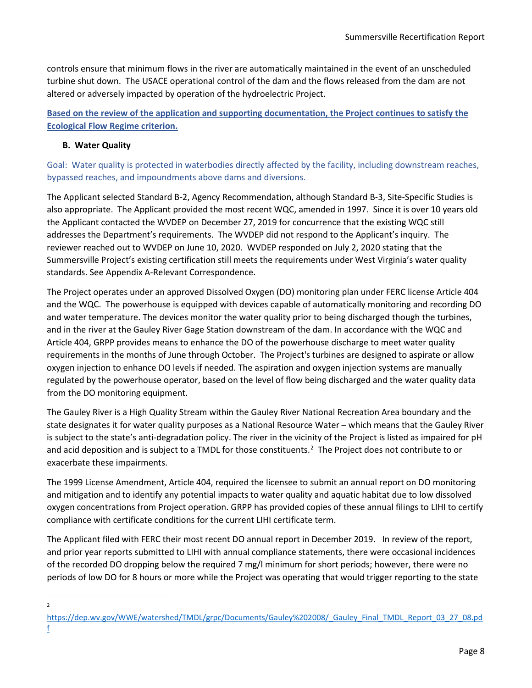controls ensure that minimum flows in the river are automatically maintained in the event of an unscheduled turbine shut down. The USACE operational control of the dam and the flows released from the dam are not altered or adversely impacted by operation of the hydroelectric Project.

**Based on the review of the application and supporting documentation, the Project continues to satisfy the Ecological Flow Regime criterion.** 

# **B. Water Quality**

Goal: Water quality is protected in waterbodies directly affected by the facility, including downstream reaches, bypassed reaches, and impoundments above dams and diversions.

The Applicant selected Standard B-2, Agency Recommendation, although Standard B-3, Site-Specific Studies is also appropriate. The Applicant provided the most recent WQC, amended in 1997. Since it is over 10 years old the Applicant contacted the WVDEP on December 27, 2019 for concurrence that the existing WQC still addresses the Department's requirements. The WVDEP did not respond to the Applicant's inquiry. The reviewer reached out to WVDEP on June 10, 2020. WVDEP responded on July 2, 2020 stating that the Summersville Project's existing certification still meets the requirements under West Virginia's water quality standards. See Appendix A-Relevant Correspondence.

The Project operates under an approved Dissolved Oxygen (DO) monitoring plan under FERC license Article 404 and the WQC. The powerhouse is equipped with devices capable of automatically monitoring and recording DO and water temperature. The devices monitor the water quality prior to being discharged though the turbines, and in the river at the Gauley River Gage Station downstream of the dam. In accordance with the WQC and Article 404, GRPP provides means to enhance the DO of the powerhouse discharge to meet water quality requirements in the months of June through October. The Project's turbines are designed to aspirate or allow oxygen injection to enhance DO levels if needed. The aspiration and oxygen injection systems are manually regulated by the powerhouse operator, based on the level of flow being discharged and the water quality data from the DO monitoring equipment.

The Gauley River is a High Quality Stream within the Gauley River National Recreation Area boundary and the state designates it for water quality purposes as a National Resource Water – which means that the Gauley River is subject to the state's anti-degradation policy. The river in the vicinity of the Project is listed as impaired for pH and acid deposition and is subject to a TMDL for those constituents.<sup>[2](#page-7-0)</sup> The Project does not contribute to or exacerbate these impairments.

The 1999 License Amendment, Article 404, required the licensee to submit an annual report on DO monitoring and mitigation and to identify any potential impacts to water quality and aquatic habitat due to low dissolved oxygen concentrations from Project operation. GRPP has provided copies of these annual filings to LIHI to certify compliance with certificate conditions for the current LIHI certificate term.

The Applicant filed with FERC their most recent DO annual report in December 2019. In review of the report, and prior year reports submitted to LIHI with annual compliance statements, there were occasional incidences of the recorded DO dropping below the required 7 mg/l minimum for short periods; however, there were no periods of low DO for 8 hours or more while the Project was operating that would trigger reporting to the state

2

<span id="page-7-0"></span>[https://dep.wv.gov/WWE/watershed/TMDL/grpc/Documents/Gauley%202008/\\_Gauley\\_Final\\_TMDL\\_Report\\_03\\_27\\_08.pd](https://dep.wv.gov/WWE/watershed/TMDL/grpc/Documents/Gauley%202008/_Gauley_Final_TMDL_Report_03_27_08.pdf) [f](https://dep.wv.gov/WWE/watershed/TMDL/grpc/Documents/Gauley%202008/_Gauley_Final_TMDL_Report_03_27_08.pdf)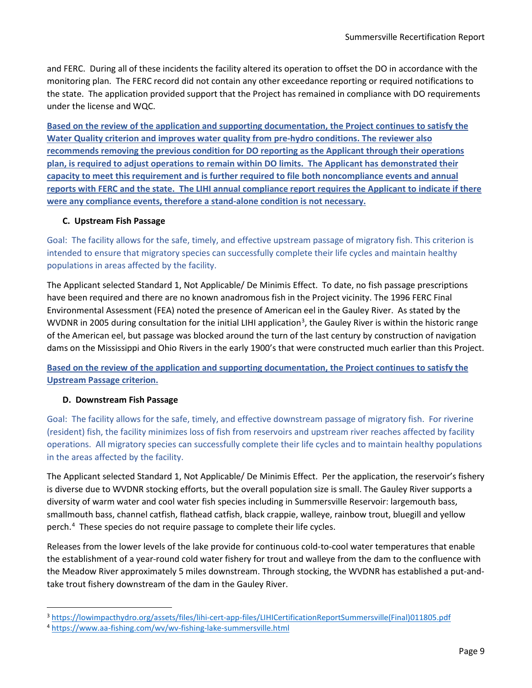and FERC. During all of these incidents the facility altered its operation to offset the DO in accordance with the monitoring plan. The FERC record did not contain any other exceedance reporting or required notifications to the state. The application provided support that the Project has remained in compliance with DO requirements under the license and WQC.

**Based on the review of the application and supporting documentation, the Project continues to satisfy the Water Quality criterion and improves water quality from pre-hydro conditions. The reviewer also recommends removing the previous condition for DO reporting as the Applicant through their operations plan, is required to adjust operations to remain within DO limits. The Applicant has demonstrated their capacity to meet this requirement and is further required to file both noncompliance events and annual reports with FERC and the state. The LIHI annual compliance report requires the Applicant to indicate if there were any compliance events, therefore a stand-alone condition is not necessary.** 

## **C. Upstream Fish Passage**

Goal: The facility allows for the safe, timely, and effective upstream passage of migratory fish. This criterion is intended to ensure that migratory species can successfully complete their life cycles and maintain healthy populations in areas affected by the facility.

The Applicant selected Standard 1, Not Applicable/ De Minimis Effect. To date, no fish passage prescriptions have been required and there are no known anadromous fish in the Project vicinity. The 1996 FERC Final Environmental Assessment (FEA) noted the presence of American eel in the Gauley River. As stated by the WVDNR in 2005 during consultation for the initial LIHI application<sup>[3](#page-8-0)</sup>, the Gauley River is within the historic range of the American eel, but passage was blocked around the turn of the last century by construction of navigation dams on the Mississippi and Ohio Rivers in the early 1900's that were constructed much earlier than this Project.

**Based on the review of the application and supporting documentation, the Project continues to satisfy the Upstream Passage criterion.** 

## **D. Downstream Fish Passage**

Goal: The facility allows for the safe, timely, and effective downstream passage of migratory fish. For riverine (resident) fish, the facility minimizes loss of fish from reservoirs and upstream river reaches affected by facility operations. All migratory species can successfully complete their life cycles and to maintain healthy populations in the areas affected by the facility.

The Applicant selected Standard 1, Not Applicable/ De Minimis Effect. Per the application, the reservoir's fishery is diverse due to WVDNR stocking efforts, but the overall population size is small. The Gauley River supports a diversity of warm water and cool water fish species including in Summersville Reservoir: largemouth bass, smallmouth bass, channel catfish, flathead catfish, black crappie, walleye, rainbow trout, bluegill and yellow perch. [4](#page-8-1) These species do not require passage to complete their life cycles.

Releases from the lower levels of the lake provide for continuous cold-to-cool water temperatures that enable the establishment of a year-round cold water fishery for trout and walleye from the dam to the confluence with the Meadow River approximately 5 miles downstream. Through stocking, the WVDNR has established a put-andtake trout fishery downstream of the dam in the Gauley River.

<span id="page-8-0"></span><sup>3</sup> [https://lowimpacthydro.org/assets/files/lihi-cert-app-files/LIHICertificationReportSummersville\(Final\)011805.pdf](https://lowimpacthydro.org/assets/files/lihi-cert-app-files/LIHICertificationReportSummersville(Final)011805.pdf)

<span id="page-8-1"></span><sup>4</sup> <https://www.aa-fishing.com/wv/wv-fishing-lake-summersville.html>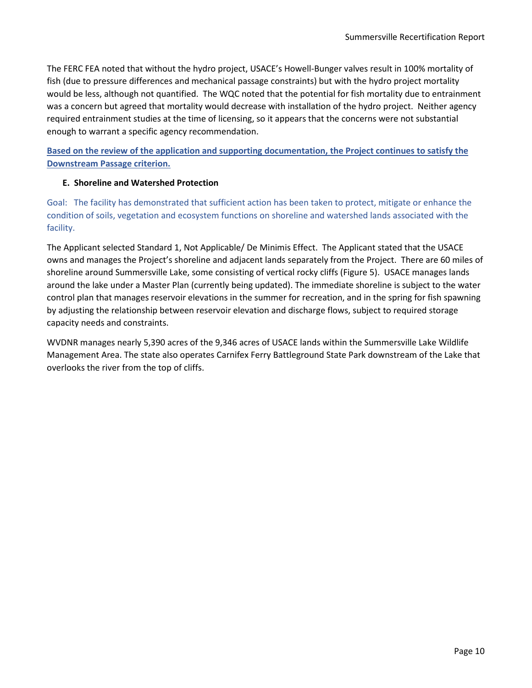The FERC FEA noted that without the hydro project, USACE's Howell-Bunger valves result in 100% mortality of fish (due to pressure differences and mechanical passage constraints) but with the hydro project mortality would be less, although not quantified. The WQC noted that the potential for fish mortality due to entrainment was a concern but agreed that mortality would decrease with installation of the hydro project. Neither agency required entrainment studies at the time of licensing, so it appears that the concerns were not substantial enough to warrant a specific agency recommendation.

**Based on the review of the application and supporting documentation, the Project continues to satisfy the Downstream Passage criterion.** 

## **E. Shoreline and Watershed Protection**

Goal: The facility has demonstrated that sufficient action has been taken to protect, mitigate or enhance the condition of soils, vegetation and ecosystem functions on shoreline and watershed lands associated with the facility.

The Applicant selected Standard 1, Not Applicable/ De Minimis Effect. The Applicant stated that the USACE owns and manages the Project's shoreline and adjacent lands separately from the Project. There are 60 miles of shoreline around Summersville Lake, some consisting of vertical rocky cliffs (Figure 5). USACE manages lands around the lake under a Master Plan (currently being updated). The immediate shoreline is subject to the water control plan that manages reservoir elevations in the summer for recreation, and in the spring for fish spawning by adjusting the relationship between reservoir elevation and discharge flows, subject to required storage capacity needs and constraints.

WVDNR manages nearly 5,390 acres of the 9,346 acres of USACE lands within the Summersville Lake Wildlife Management Area. The state also operates Carnifex Ferry Battleground State Park downstream of the Lake that overlooks the river from the top of cliffs.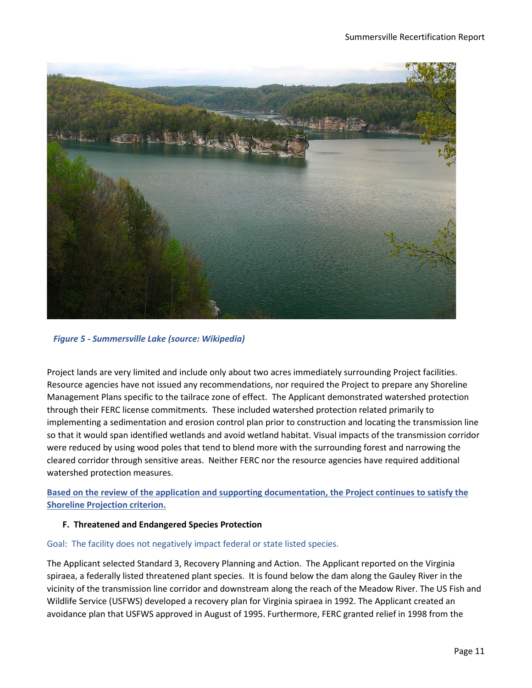

*Figure 5 - Summersville Lake (source: Wikipedia)*

Project lands are very limited and include only about two acres immediately surrounding Project facilities. Resource agencies have not issued any recommendations, nor required the Project to prepare any Shoreline Management Plans specific to the tailrace zone of effect. The Applicant demonstrated watershed protection through their FERC license commitments. These included watershed protection related primarily to implementing a sedimentation and erosion control plan prior to construction and locating the transmission line so that it would span identified wetlands and avoid wetland habitat. Visual impacts of the transmission corridor were reduced by using wood poles that tend to blend more with the surrounding forest and narrowing the cleared corridor through sensitive areas. Neither FERC nor the resource agencies have required additional watershed protection measures.

**Based on the review of the application and supporting documentation, the Project continues to satisfy the Shoreline Projection criterion.** 

## **F. Threatened and Endangered Species Protection**

# Goal: The facility does not negatively impact federal or state listed species.

The Applicant selected Standard 3, Recovery Planning and Action. The Applicant reported on the Virginia spiraea, a federally listed threatened plant species. It is found below the dam along the Gauley River in the vicinity of the transmission line corridor and downstream along the reach of the Meadow River. The US Fish and Wildlife Service (USFWS) developed a recovery plan for Virginia spiraea in 1992. The Applicant created an avoidance plan that USFWS approved in August of 1995. Furthermore, FERC granted relief in 1998 from the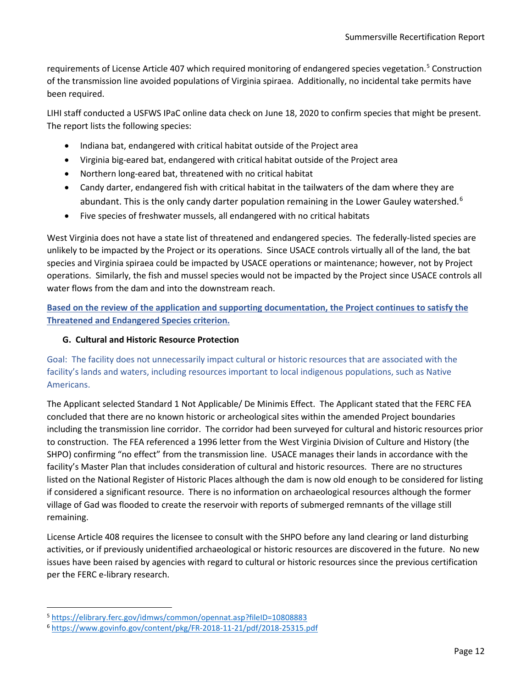requirements of License Article 407 which required monitoring of endangered species vegetation.<sup>[5](#page-11-0)</sup> Construction of the transmission line avoided populations of Virginia spiraea. Additionally, no incidental take permits have been required.

LIHI staff conducted a USFWS IPaC online data check on June 18, 2020 to confirm species that might be present. The report lists the following species:

- Indiana bat, endangered with critical habitat outside of the Project area
- Virginia big-eared bat, endangered with critical habitat outside of the Project area
- Northern long-eared bat, threatened with no critical habitat
- Candy darter, endangered fish with critical habitat in the tailwaters of the dam where they are abundant. This is the only candy darter population remaining in the Lower Gauley watershed.<sup>[6](#page-11-1)</sup>
- Five species of freshwater mussels, all endangered with no critical habitats

West Virginia does not have a state list of threatened and endangered species. The federally-listed species are unlikely to be impacted by the Project or its operations. Since USACE controls virtually all of the land, the bat species and Virginia spiraea could be impacted by USACE operations or maintenance; however, not by Project operations. Similarly, the fish and mussel species would not be impacted by the Project since USACE controls all water flows from the dam and into the downstream reach.

**Based on the review of the application and supporting documentation, the Project continues to satisfy the Threatened and Endangered Species criterion.** 

## **G. Cultural and Historic Resource Protection**

Goal: The facility does not unnecessarily impact cultural or historic resources that are associated with the facility's lands and waters, including resources important to local indigenous populations, such as Native Americans.

The Applicant selected Standard 1 Not Applicable/ De Minimis Effect. The Applicant stated that the FERC FEA concluded that there are no known historic or archeological sites within the amended Project boundaries including the transmission line corridor. The corridor had been surveyed for cultural and historic resources prior to construction. The FEA referenced a 1996 letter from the West Virginia Division of Culture and History (the SHPO) confirming "no effect" from the transmission line. USACE manages their lands in accordance with the facility's Master Plan that includes consideration of cultural and historic resources. There are no structures listed on the National Register of Historic Places although the dam is now old enough to be considered for listing if considered a significant resource. There is no information on archaeological resources although the former village of Gad was flooded to create the reservoir with reports of submerged remnants of the village still remaining.

License Article 408 requires the licensee to consult with the SHPO before any land clearing or land disturbing activities, or if previously unidentified archaeological or historic resources are discovered in the future. No new issues have been raised by agencies with regard to cultural or historic resources since the previous certification per the FERC e-library research.

<span id="page-11-0"></span><sup>5</sup> <https://elibrary.ferc.gov/idmws/common/opennat.asp?fileID=10808883>

<span id="page-11-1"></span><sup>6</sup> <https://www.govinfo.gov/content/pkg/FR-2018-11-21/pdf/2018-25315.pdf>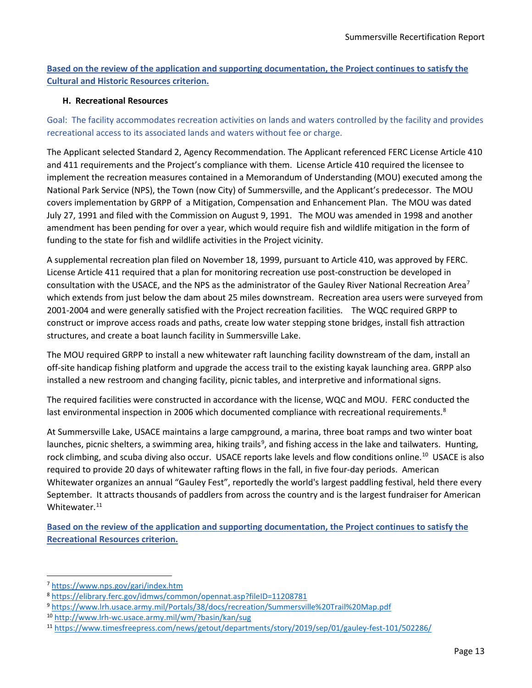**Based on the review of the application and supporting documentation, the Project continues to satisfy the Cultural and Historic Resources criterion.** 

## **H. Recreational Resources**

Goal: The facility accommodates recreation activities on lands and waters controlled by the facility and provides recreational access to its associated lands and waters without fee or charge.

The Applicant selected Standard 2, Agency Recommendation. The Applicant referenced FERC License Article 410 and 411 requirements and the Project's compliance with them. License Article 410 required the licensee to implement the recreation measures contained in a Memorandum of Understanding (MOU) executed among the National Park Service (NPS), the Town (now City) of Summersville, and the Applicant's predecessor. The MOU covers implementation by GRPP of a Mitigation, Compensation and Enhancement Plan. The MOU was dated July 27, 1991 and filed with the Commission on August 9, 1991. The MOU was amended in 1998 and another amendment has been pending for over a year, which would require fish and wildlife mitigation in the form of funding to the state for fish and wildlife activities in the Project vicinity.

A supplemental recreation plan filed on November 18, 1999, pursuant to Article 410, was approved by FERC. License Article 411 required that a plan for monitoring recreation use post-construction be developed in consultation with the USACE, and the NPS as the administrator of the Gauley River National Recreation Area<sup>7</sup> which extends from just below the dam about 25 miles downstream. Recreation area users were surveyed from 2001-2004 and were generally satisfied with the Project recreation facilities. The WQC required GRPP to construct or improve access roads and paths, create low water stepping stone bridges, install fish attraction structures, and create a boat launch facility in Summersville Lake.

The MOU required GRPP to install a new whitewater raft launching facility downstream of the dam, install an off-site handicap fishing platform and upgrade the access trail to the existing kayak launching area. GRPP also installed a new restroom and changing facility, picnic tables, and interpretive and informational signs.

The required facilities were constructed in accordance with the license, WQC and MOU. FERC conducted the last environmental inspection in 2006 which documented compliance with recreational requirements.<sup>[8](#page-12-1)</sup>

At Summersville Lake, USACE maintains a large campground, a marina, three boat ramps and two winter boat launches, picnic shelters, a swimming area, hiking trails<sup>[9](#page-12-2)</sup>, and fishing access in the lake and tailwaters. Hunting, rock climbing, and scuba diving also occur. USACE reports lake levels and flow conditions online.<sup>10</sup> USACE is also required to provide 20 days of whitewater rafting flows in the fall, in five four-day periods. American Whitewater organizes an annual "Gauley Fest", reportedly the world's largest paddling festival, held there every September. It attracts thousands of paddlers from across the country and is the largest fundraiser for American Whitewater.<sup>11</sup>

**Based on the review of the application and supporting documentation, the Project continues to satisfy the Recreational Resources criterion.** 

<span id="page-12-0"></span><sup>7</sup> <https://www.nps.gov/gari/index.htm>

<span id="page-12-1"></span><sup>8</sup> <https://elibrary.ferc.gov/idmws/common/opennat.asp?fileID=11208781>

<span id="page-12-2"></span><sup>9</sup> <https://www.lrh.usace.army.mil/Portals/38/docs/recreation/Summersville%20Trail%20Map.pdf>

<span id="page-12-3"></span><sup>10</sup> <http://www.lrh-wc.usace.army.mil/wm/?basin/kan/sug>

<span id="page-12-4"></span><sup>11</sup> <https://www.timesfreepress.com/news/getout/departments/story/2019/sep/01/gauley-fest-101/502286/>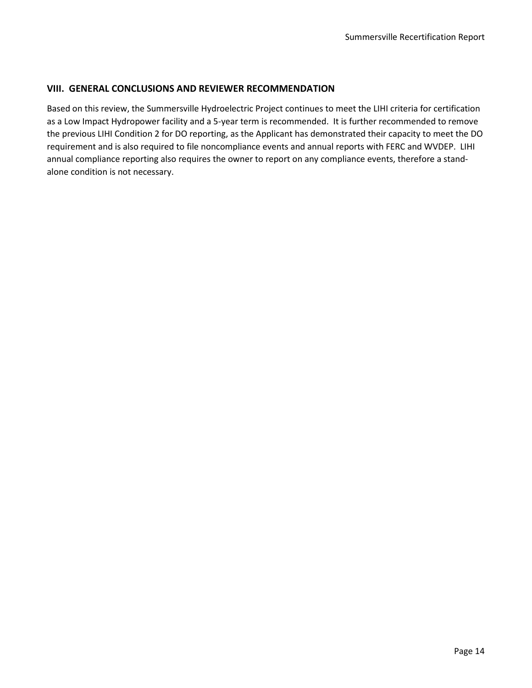## **VIII. GENERAL CONCLUSIONS AND REVIEWER RECOMMENDATION**

Based on this review, the Summersville Hydroelectric Project continues to meet the LIHI criteria for certification as a Low Impact Hydropower facility and a 5-year term is recommended. It is further recommended to remove the previous LIHI Condition 2 for DO reporting, as the Applicant has demonstrated their capacity to meet the DO requirement and is also required to file noncompliance events and annual reports with FERC and WVDEP. LIHI annual compliance reporting also requires the owner to report on any compliance events, therefore a standalone condition is not necessary.